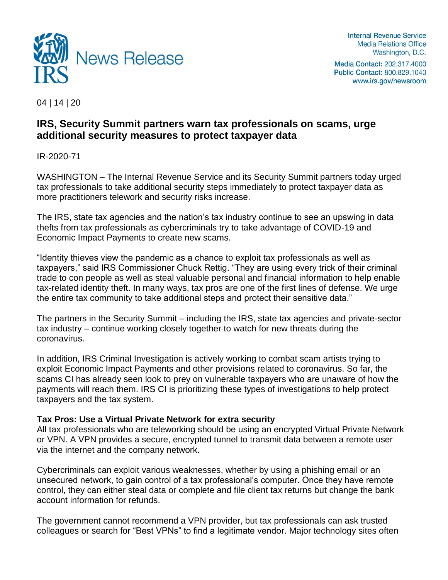

**Internal Revenue Service Media Relations Office** Washington, D.C.

Media Contact: 202.317.4000 Public Contact: 800.829.1040 www.irs.gov/newsroom

04 | 14 | 20

# **IRS, Security Summit partners warn tax professionals on scams, urge additional security measures to protect taxpayer data**

IR-2020-71

WASHINGTON – The Internal Revenue Service and its Security Summit partners today urged tax professionals to take additional security steps immediately to protect taxpayer data as more practitioners telework and security risks increase.

The IRS, state tax agencies and the nation's tax industry continue to see an upswing in data thefts from tax professionals as cybercriminals try to take advantage of COVID-19 and Economic Impact Payments to create new scams.

"Identity thieves view the pandemic as a chance to exploit tax professionals as well as taxpayers," said IRS Commissioner Chuck Rettig. "They are using every trick of their criminal trade to con people as well as steal valuable personal and financial information to help enable tax-related identity theft. In many ways, tax pros are one of the first lines of defense. We urge the entire tax community to take additional steps and protect their sensitive data."

The partners in the Security Summit – including the IRS, state tax agencies and private-sector tax industry – continue working closely together to watch for new threats during the coronavirus.

In addition, IRS Criminal Investigation is actively working to combat scam artists trying to exploit Economic Impact Payments and other provisions related to coronavirus. So far, the scams CI has already seen look to prey on vulnerable taxpayers who are unaware of how the payments will reach them. IRS CI is prioritizing these types of investigations to help protect taxpayers and the tax system.

## **Tax Pros: Use a Virtual Private Network for extra security**

All tax professionals who are teleworking should be using an encrypted Virtual Private Network or VPN. A VPN provides a secure, encrypted tunnel to transmit data between a remote user via the internet and the company network.

Cybercriminals can exploit various weaknesses, whether by using a phishing email or an unsecured network, to gain control of a tax professional's computer. Once they have remote control, they can either steal data or complete and file client tax returns but change the bank account information for refunds.

The government cannot recommend a VPN provider, but tax professionals can ask trusted colleagues or search for "Best VPNs" to find a legitimate vendor. Major technology sites often